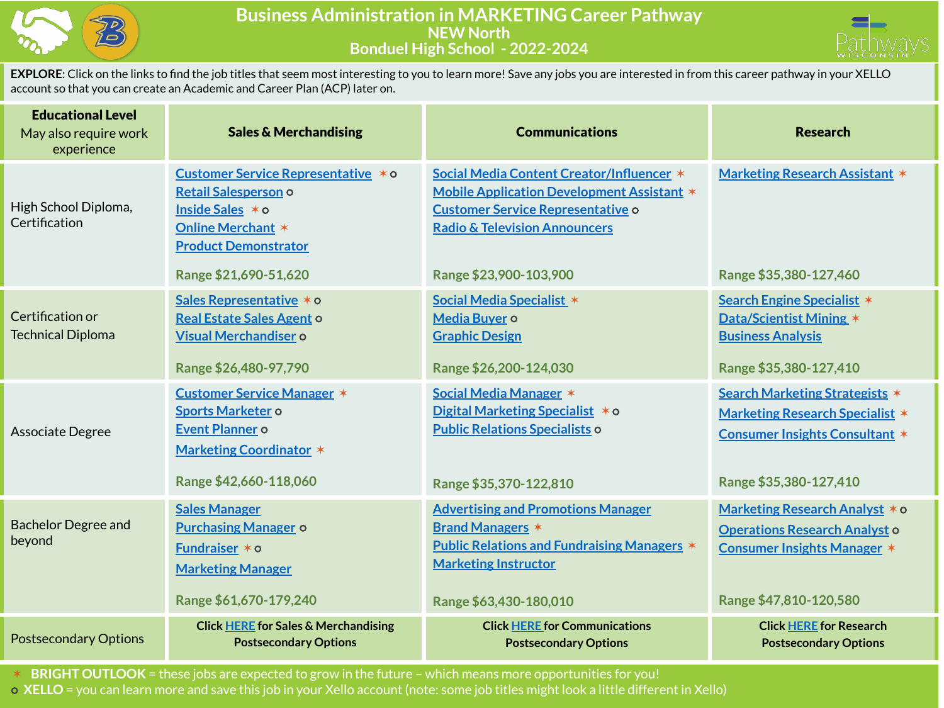

## **Business Administration in MARKETING Career Pathway NEW North Bonduel High School - 2022-2024**



**EXPLORE**: Click on the links to find the job titles that seem most interesting to you to learn more! Save any jobs you are interested in from this career pathway in your XELLO account so that you can create an Academic and Career Plan (ACP) later on.

| <b>Educational Level</b><br>May also require work<br>experience | <b>Sales &amp; Merchandising</b>                                                                                                                                   | <b>Communications</b>                                                                                                                                                                                     | <b>Research</b>                                                                                                                                    |  |
|-----------------------------------------------------------------|--------------------------------------------------------------------------------------------------------------------------------------------------------------------|-----------------------------------------------------------------------------------------------------------------------------------------------------------------------------------------------------------|----------------------------------------------------------------------------------------------------------------------------------------------------|--|
| High School Diploma,<br>Certification                           | Customer Service Representative *0<br>Retail Salesperson o<br>Inside Sales * o<br><b>Online Merchant *</b><br><b>Product Demonstrator</b><br>Range \$21,690-51,620 | Social Media Content Creator/Influencer *<br>Mobile Application Development Assistant *<br><b>Customer Service Representative o</b><br><b>Radio &amp; Television Announcers</b><br>Range \$23,900-103,900 | <b>Marketing Research Assistant *</b><br>Range \$35,380-127,460                                                                                    |  |
| Certification or<br><b>Technical Diploma</b>                    | Sales Representative * o<br>Real Estate Sales Agent o<br>Visual Merchandiser o<br>Range \$26,480-97,790                                                            | Social Media Specialist *<br>Media Buyer o<br><b>Graphic Design</b><br>Range \$26,200-124,030                                                                                                             | Search Engine Specialist *<br>Data/Scientist Mining *<br><b>Business Analysis</b><br>Range \$35,380-127,410                                        |  |
| Associate Degree                                                | <b>Customer Service Manager *</b><br><b>Sports Marketer o</b><br>Event Planner o<br><b>Marketing Coordinator *</b><br>Range \$42,660-118,060                       | Social Media Manager *<br>Digital Marketing Specialist $*$ o<br><b>Public Relations Specialists o</b><br>Range \$35,370-122,810                                                                           | <b>Search Marketing Strategists *</b><br><b>Marketing Research Specialist *</b><br><b>Consumer Insights Consultant *</b><br>Range \$35,380-127,410 |  |
| <b>Bachelor Degree and</b><br>beyond                            | <b>Sales Manager</b><br><b>Purchasing Manager o</b><br>Fundraiser * o<br><b>Marketing Manager</b><br>Range \$61,670-179,240                                        | <b>Advertising and Promotions Manager</b><br><b>Brand Managers *</b><br><b>Public Relations and Fundraising Managers *</b><br><b>Marketing Instructor</b><br>Range \$63,430-180,010                       | Marketing Research Analyst * o<br><b>Operations Research Analyst o</b><br><b>Consumer Insights Manager *</b><br>Range \$47,810-120,580             |  |
| <b>Postsecondary Options</b>                                    | <b>Click HERE for Sales &amp; Merchandising</b><br><b>Postsecondary Options</b>                                                                                    | <b>Click HERE for Communications</b><br><b>Postsecondary Options</b>                                                                                                                                      | <b>Click HERE for Research</b><br><b>Postsecondary Options</b>                                                                                     |  |

✶ **BRIGHT OUTLOOK** = these jobs are expected to grow in the future – which means more opportunities for you! ⭘ **XELLO** = you can learn more and save this job in your Xello account (note: some job titles might look a little different in Xello)